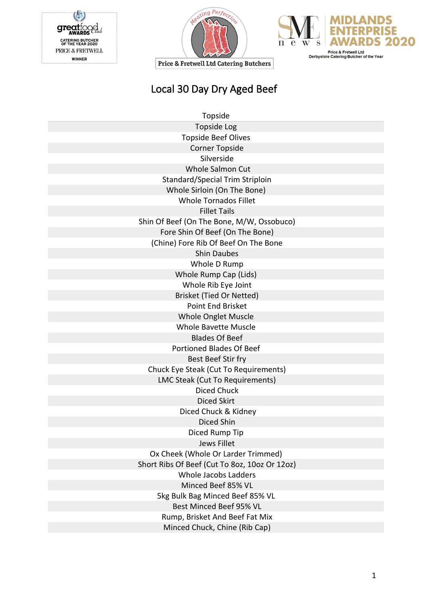C great od CATERING BUTCHER<br>OF THE YEAR 2020<br>PRICE & FRETWELL **WINNER** 





|  | Local 30 Day Dry Aged Beef |
|--|----------------------------|
|--|----------------------------|

| Topside                                       |
|-----------------------------------------------|
| <b>Topside Log</b>                            |
| <b>Topside Beef Olives</b>                    |
| <b>Corner Topside</b>                         |
| Silverside                                    |
| <b>Whole Salmon Cut</b>                       |
| Standard/Special Trim Striploin               |
| Whole Sirloin (On The Bone)                   |
| <b>Whole Tornados Fillet</b>                  |
| <b>Fillet Tails</b>                           |
| Shin Of Beef (On The Bone, M/W, Ossobuco)     |
| Fore Shin Of Beef (On The Bone)               |
| (Chine) Fore Rib Of Beef On The Bone          |
| <b>Shin Daubes</b>                            |
| Whole D Rump                                  |
| Whole Rump Cap (Lids)                         |
| Whole Rib Eye Joint                           |
| Brisket (Tied Or Netted)                      |
| Point End Brisket                             |
| Whole Onglet Muscle                           |
| <b>Whole Bavette Muscle</b>                   |
| <b>Blades Of Beef</b>                         |
| <b>Portioned Blades Of Beef</b>               |
| Best Beef Stir fry                            |
| Chuck Eye Steak (Cut To Requirements)         |
| LMC Steak (Cut To Requirements)               |
| <b>Diced Chuck</b>                            |
| <b>Diced Skirt</b>                            |
| Diced Chuck & Kidney                          |
| Diced Shin                                    |
| Diced Rump Tip                                |
| Jews Fillet                                   |
| Ox Cheek (Whole Or Larder Trimmed)            |
| Short Ribs Of Beef (Cut To 8oz, 10oz Or 12oz) |
| <b>Whole Jacobs Ladders</b>                   |
| Minced Beef 85% VL                            |
| 5kg Bulk Bag Minced Beef 85% VL               |
| Best Minced Beef 95% VL                       |
| Rump, Brisket And Beef Fat Mix                |
| Minced Chuck, Chine (Rib Cap)                 |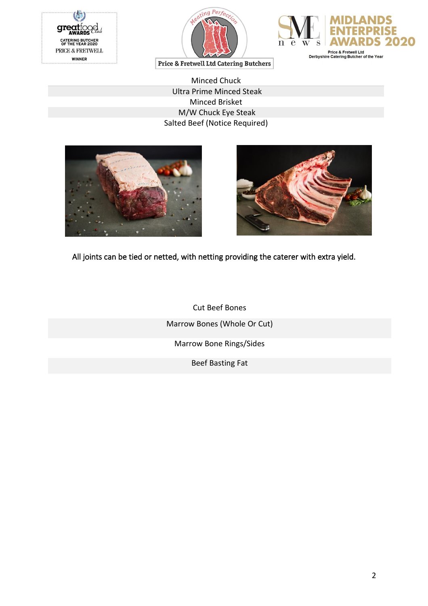





Minced Chuck Ultra Prime Minced Steak Minced Brisket M/W Chuck Eye Steak Salted Beef (Notice Required)





All joints can be tied or netted, with netting providing the caterer with extra yield.

Cut Beef Bones Marrow Bones (Whole Or Cut) Marrow Bone Rings/Sides Beef Basting Fat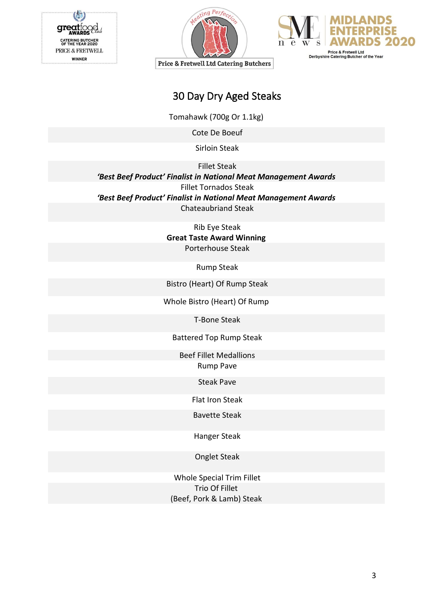





### 30 Day Dry Aged Steaks

Tomahawk (700g Or 1.1kg)

Cote De Boeuf

Sirloin Steak

Fillet Steak

*'Best Beef Product' Finalist in National Meat Management Awards* Fillet Tornados Steak *'Best Beef Product' Finalist in National Meat Management Awards* Chateaubriand Steak

Rib Eye Steak

**Great Taste Award Winning** Porterhouse Steak

Rump Steak

Bistro (Heart) Of Rump Steak

Whole Bistro (Heart) Of Rump

T-Bone Steak

Battered Top Rump Steak

Beef Fillet Medallions Rump Pave

Steak Pave

Flat Iron Steak

Bavette Steak

Hanger Steak

Onglet Steak

Whole Special Trim Fillet Trio Of Fillet (Beef, Pork & Lamb) Steak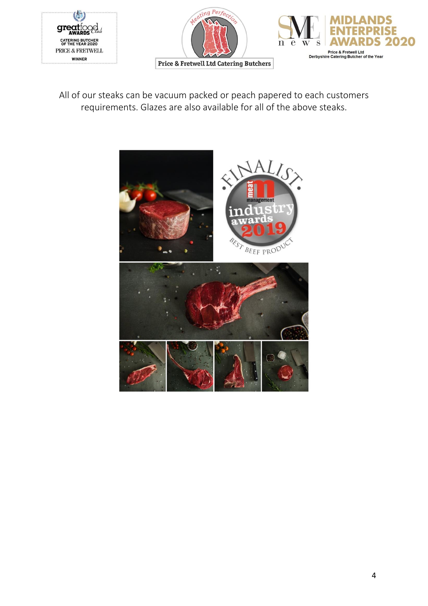





All of our steaks can be vacuum packed or peach papered to each customers requirements. Glazes are also available for all of the above steaks.

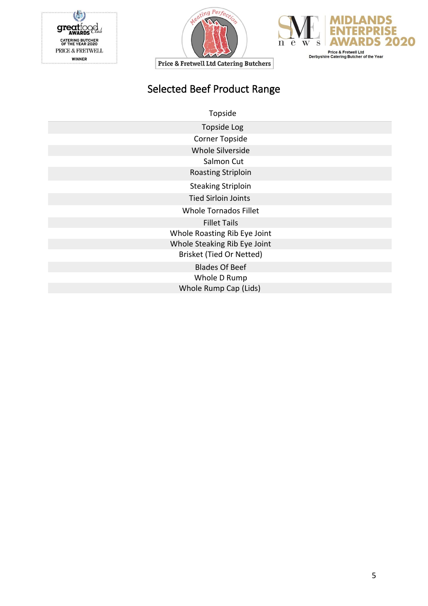





# Selected Beef Product Range

Topside

| <b>Topside Log</b>           |  |
|------------------------------|--|
| <b>Corner Topside</b>        |  |
| <b>Whole Silverside</b>      |  |
| Salmon Cut                   |  |
| <b>Roasting Striploin</b>    |  |
| <b>Steaking Striploin</b>    |  |
| <b>Tied Sirloin Joints</b>   |  |
| <b>Whole Tornados Fillet</b> |  |
| <b>Fillet Tails</b>          |  |
| Whole Roasting Rib Eye Joint |  |
| Whole Steaking Rib Eye Joint |  |
| Brisket (Tied Or Netted)     |  |
| <b>Blades Of Beef</b>        |  |
| Whole D Rump                 |  |
| Whole Rump Cap (Lids)        |  |
|                              |  |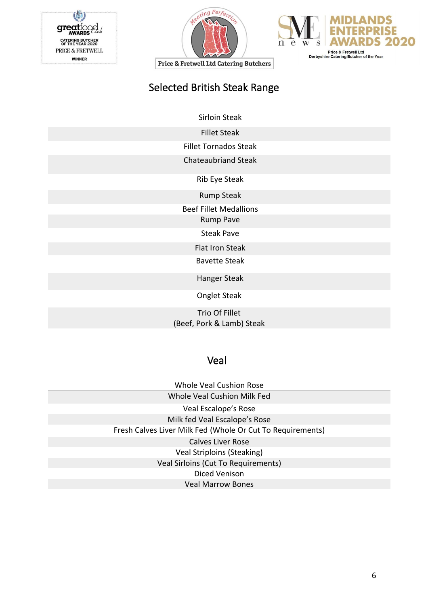





# Selected British Steak Range

Sirloin Steak

Fillet Steak

Fillet Tornados Steak

Chateaubriand Steak

Rib Eye Steak

Rump Steak

Beef Fillet Medallions

Rump Pave

Steak Pave

Flat Iron Steak

Bavette Steak

Hanger Steak

Onglet Steak

Trio Of Fillet (Beef, Pork & Lamb) Steak

#### Veal

Whole Veal Cushion Rose Whole Veal Cushion Milk Fed Veal Escalope's Rose Milk fed Veal Escalope's Rose Fresh Calves Liver Milk Fed (Whole Or Cut To Requirements) Calves Liver Rose Veal Striploins (Steaking) Veal Sirloins (Cut To Requirements) Diced Venison Veal Marrow Bones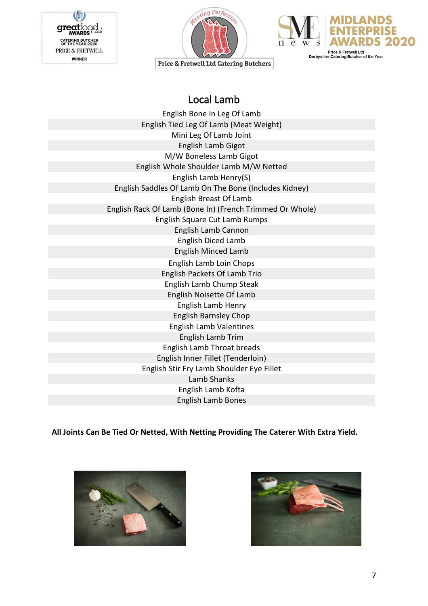





Local Lamb

| English Bone In Leg Of Lamb                              |
|----------------------------------------------------------|
| English Tied Leg Of Lamb (Meat Weight)                   |
| Mini Leg Of Lamb Joint                                   |
| <b>English Lamb Gigot</b>                                |
| M/W Boneless Lamb Gigot                                  |
| English Whole Shoulder Lamb M/W Netted                   |
| English Lamb Henry(S)                                    |
| English Saddles Of Lamb On The Bone (Includes Kidney)    |
| <b>English Breast Of Lamb</b>                            |
| English Rack Of Lamb (Bone In) (French Trimmed Or Whole) |
| English Square Cut Lamb Rumps                            |
| English Lamb Cannon                                      |
| <b>English Diced Lamb</b>                                |
| <b>English Minced Lamb</b>                               |
| English Lamb Loin Chops                                  |
| English Packets Of Lamb Trio                             |
| English Lamb Chump Steak                                 |
| English Noisette Of Lamb                                 |
| English Lamb Henry                                       |
| <b>English Barnsley Chop</b>                             |
| <b>English Lamb Valentines</b>                           |
| English Lamb Trim                                        |
| <b>English Lamb Throat breads</b>                        |
| English Inner Fillet (Tenderloin)                        |
| English Stir Fry Lamb Shoulder Eye Fillet                |
| Lamb Shanks                                              |
| English Lamb Kofta                                       |
| <b>English Lamb Bones</b>                                |

**All Joints Can Be Tied Or Netted, With Netting Providing The Caterer With Extra Yield.**



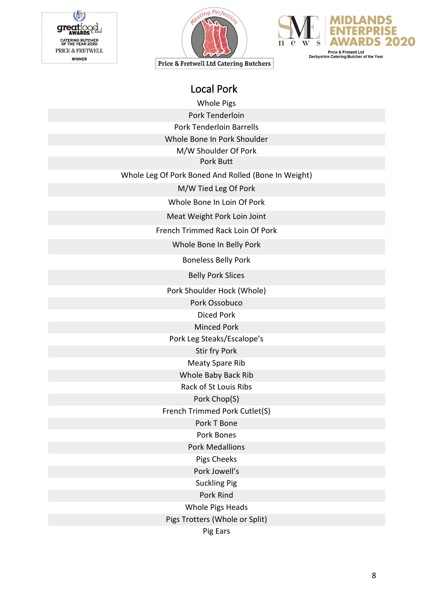gre CATERING BUTCHER<br>OF THE YEAR 2020 PRICE & FRETWELL **WINNER** 





Price & Fretwell Ltd Catering Butchers

Whole Pigs

Pork Tenderloin

Pork Tenderloin Barrells

Whole Bone In Pork Shoulder

M/W Shoulder Of Pork

Pork Butt

Whole Leg Of Pork Boned And Rolled (Bone In Weight)

M/W Tied Leg Of Pork

Whole Bone In Loin Of Pork

Meat Weight Pork Loin Joint

French Trimmed Rack Loin Of Pork

Whole Bone In Belly Pork

Boneless Belly Pork

Belly Pork Slices

Pork Shoulder Hock (Whole)

Pork Ossobuco

Diced Pork

Minced Pork

Pork Leg Steaks/Escalope's

Stir fry Pork

Meaty Spare Rib

Whole Baby Back Rib

Rack of St Louis Ribs

Pork Chop(S)

French Trimmed Pork Cutlet(S)

Pork T Bone

Pork Bones

Pork Medallions

Pigs Cheeks

Pork Jowell's

Suckling Pig

Pork Rind

Whole Pigs Heads

Pigs Trotters (Whole or Split)

Pig Ears

8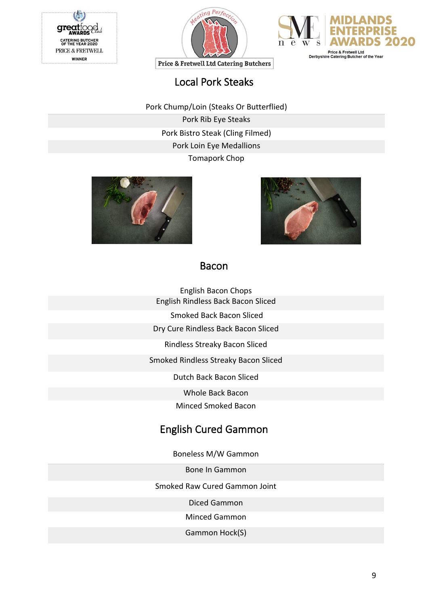





## Local Pork Steaks

Pork Chump/Loin (Steaks Or Butterflied)

Pork Rib Eye Steaks Pork Bistro Steak (Cling Filmed) Pork Loin Eye Medallions Tomapork Chop





### Bacon

- English Bacon Chops English Rindless Back Bacon Sliced
	- Smoked Back Bacon Sliced
- Dry Cure Rindless Back Bacon Sliced
	- Rindless Streaky Bacon Sliced

Smoked Rindless Streaky Bacon Sliced

Dutch Back Bacon Sliced

Whole Back Bacon

Minced Smoked Bacon

### English Cured Gammon

Boneless M/W Gammon

Bone In Gammon

Smoked Raw Cured Gammon Joint

Diced Gammon

Minced Gammon

Gammon Hock(S)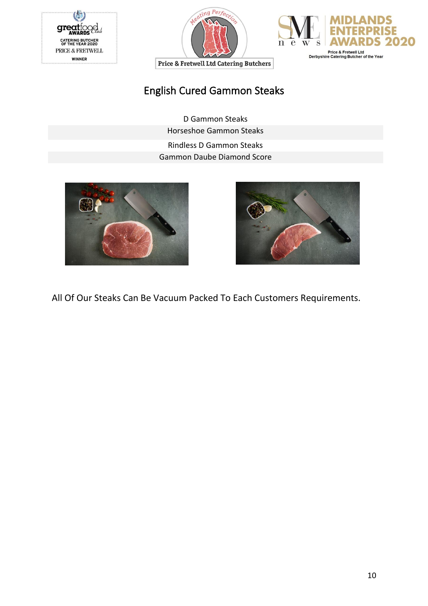





# English Cured Gammon Steaks

D Gammon Steaks Horseshoe Gammon Steaks Rindless D Gammon Steaks Gammon Daube Diamond Score





All Of Our Steaks Can Be Vacuum Packed To Each Customers Requirements.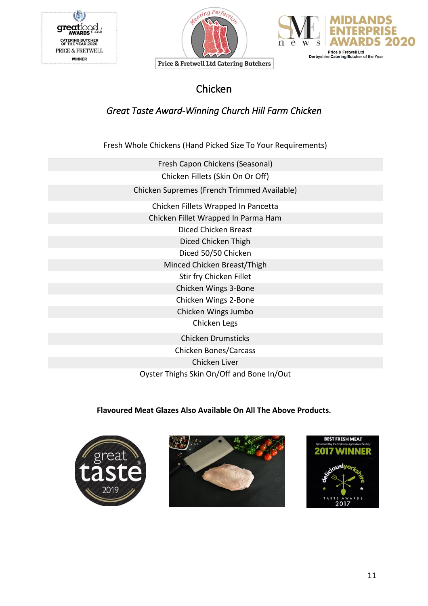





Chicken

### *Great Taste Award-Winning Church Hill Farm Chicken*

Fresh Whole Chickens (Hand Picked Size To Your Requirements)

| Fresh Capon Chickens (Seasonal)             |
|---------------------------------------------|
| Chicken Fillets (Skin On Or Off)            |
| Chicken Supremes (French Trimmed Available) |
| Chicken Fillets Wrapped In Pancetta         |
| Chicken Fillet Wrapped In Parma Ham         |
| Diced Chicken Breast                        |
| Diced Chicken Thigh                         |
| Diced 50/50 Chicken                         |
| Minced Chicken Breast/Thigh                 |
| Stir fry Chicken Fillet                     |
| Chicken Wings 3-Bone                        |
| Chicken Wings 2-Bone                        |
| Chicken Wings Jumbo                         |
| Chicken Legs                                |
| <b>Chicken Drumsticks</b>                   |
| <b>Chicken Bones/Carcass</b>                |
| Chicken Liver                               |
| Oyster Thighs Skin On/Off and Bone In/Out   |

#### **Flavoured Meat Glazes Also Available On All The Above Products.**





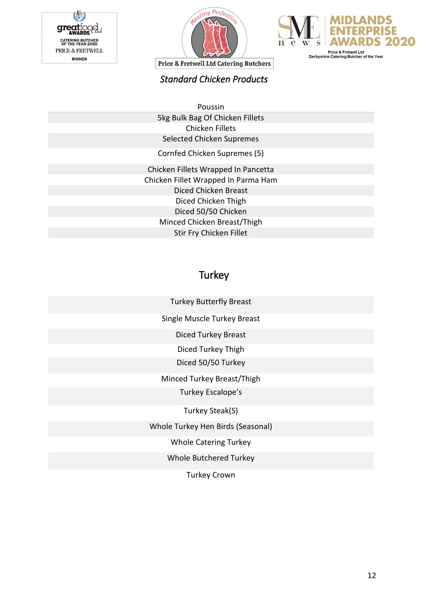





#### *Standard Chicken Products*

Poussin 5kg Bulk Bag Of Chicken Fillets Chicken Fillets Selected Chicken Supremes

Cornfed Chicken Supremes (5)

Chicken Fillets Wrapped In Pancetta Chicken Fillet Wrapped In Parma Ham Diced Chicken Breast Diced Chicken Thigh Diced 50/50 Chicken Minced Chicken Breast/Thigh Stir Fry Chicken Fillet

### **Turkey**

Turkey Butterfly Breast

Single Muscle Turkey Breast

Diced Turkey Breast

Diced Turkey Thigh

Diced 50/50 Turkey

Minced Turkey Breast/Thigh

Turkey Escalope's

Turkey Steak(S)

Whole Turkey Hen Birds (Seasonal)

Whole Catering Turkey

Whole Butchered Turkey

Turkey Crown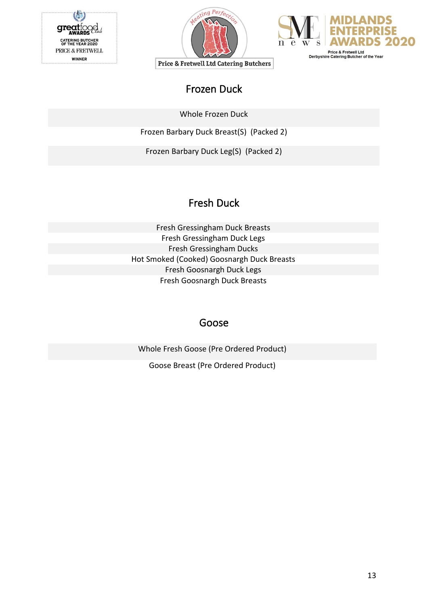





# Frozen Duck

Whole Frozen Duck

Frozen Barbary Duck Breast(S) (Packed 2)

Frozen Barbary Duck Leg(S) (Packed 2)

# Fresh Duck

Fresh Gressingham Duck Breasts Fresh Gressingham Duck Legs Fresh Gressingham Ducks Hot Smoked (Cooked) Goosnargh Duck Breasts Fresh Goosnargh Duck Legs Fresh Goosnargh Duck Breasts

### Goose

Whole Fresh Goose (Pre Ordered Product)

Goose Breast (Pre Ordered Product)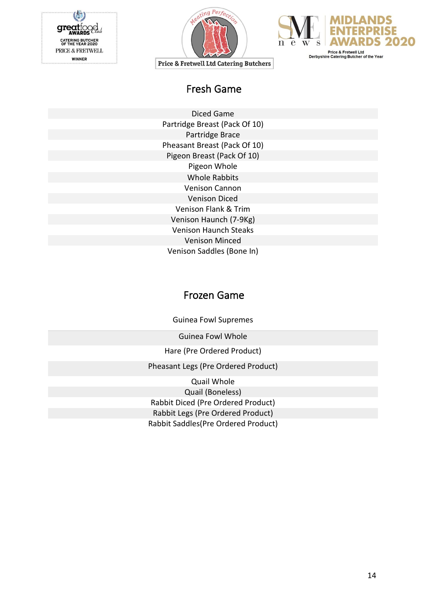





Fresh Game

Diced Game Partridge Breast (Pack Of 10) Partridge Brace Pheasant Breast (Pack Of 10) Pigeon Breast (Pack Of 10) Pigeon Whole Whole Rabbits Venison Cannon Venison Diced Venison Flank & Trim Venison Haunch (7-9Kg) Venison Haunch Steaks Venison Minced Venison Saddles (Bone In)

### Frozen Game

Guinea Fowl Supremes

Guinea Fowl Whole

Hare (Pre Ordered Product)

Pheasant Legs (Pre Ordered Product)

Quail Whole Quail (Boneless) Rabbit Diced (Pre Ordered Product) Rabbit Legs (Pre Ordered Product) Rabbit Saddles(Pre Ordered Product)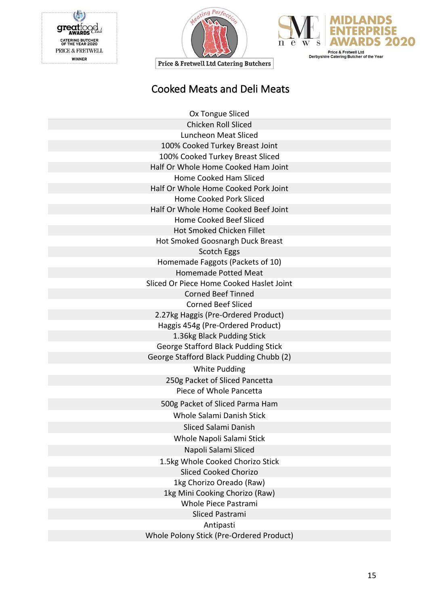U gregtt AWARDS CATERING BUTCHER<br>OF THE YEAR 2020<br>PRICE & FRETWELL **WINNER** 





**Price & Fretwell Ltd Catering Butchers** 

# Cooked Meats and Deli Meats

| Ox Tongue Sliced                         |
|------------------------------------------|
| <b>Chicken Roll Sliced</b>               |
| Luncheon Meat Sliced                     |
| 100% Cooked Turkey Breast Joint          |
| 100% Cooked Turkey Breast Sliced         |
| Half Or Whole Home Cooked Ham Joint      |
| Home Cooked Ham Sliced                   |
| Half Or Whole Home Cooked Pork Joint     |
| Home Cooked Pork Sliced                  |
| Half Or Whole Home Cooked Beef Joint     |
| Home Cooked Beef Sliced                  |
| <b>Hot Smoked Chicken Fillet</b>         |
| Hot Smoked Goosnargh Duck Breast         |
| Scotch Eggs                              |
| Homemade Faggots (Packets of 10)         |
| <b>Homemade Potted Meat</b>              |
| Sliced Or Piece Home Cooked Haslet Joint |
| <b>Corned Beef Tinned</b>                |
| <b>Corned Beef Sliced</b>                |
| 2.27kg Haggis (Pre-Ordered Product)      |
| Haggis 454g (Pre-Ordered Product)        |
| 1.36kg Black Pudding Stick               |
| George Stafford Black Pudding Stick      |
| George Stafford Black Pudding Chubb (2)  |
| <b>White Pudding</b>                     |
| 250g Packet of Sliced Pancetta           |
| Piece of Whole Pancetta                  |
| 500g Packet of Sliced Parma Ham          |
| Whole Salami Danish Stick                |
| Sliced Salami Danish                     |
| Whole Napoli Salami Stick                |
| Napoli Salami Sliced                     |
| 1.5kg Whole Cooked Chorizo Stick         |
| <b>Sliced Cooked Chorizo</b>             |
| 1kg Chorizo Oreado (Raw)                 |
| 1kg Mini Cooking Chorizo (Raw)           |
| Whole Piece Pastrami                     |
| <b>Sliced Pastrami</b>                   |
| Antipasti                                |
| Whole Polony Stick (Pre-Ordered Product) |
|                                          |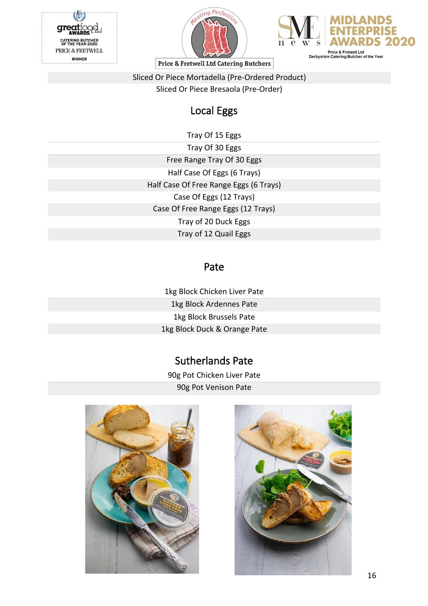





Sliced Or Piece Mortadella (Pre-Ordered Product) Sliced Or Piece Bresaola (Pre-Order)

# Local Eggs

Tray Of 15 Eggs

Tray Of 30 Eggs Free Range Tray Of 30 Eggs Half Case Of Eggs (6 Trays) Half Case Of Free Range Eggs (6 Trays) Case Of Eggs (12 Trays) Case Of Free Range Eggs (12 Trays) Tray of 20 Duck Eggs Tray of 12 Quail Eggs

### Pate

1kg Block Chicken Liver Pate 1kg Block Ardennes Pate 1kg Block Brussels Pate 1kg Block Duck & Orange Pate

# Sutherlands Pate

90g Pot Chicken Liver Pate 90g Pot Venison Pate



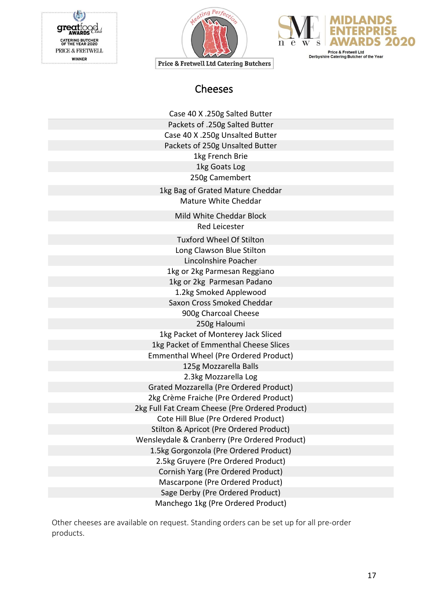gregt<sub>i</sub> **AWARD CATERING BUTCHER<br>OF THE YEAR 2020** PRICE & FRETWELL **WINNER** 





Price & Fretwell Ltd Catering Butchers

### Cheeses

| Case 40 X .250g Salted Butter                   |  |
|-------------------------------------------------|--|
| Packets of .250g Salted Butter                  |  |
| Case 40 X .250g Unsalted Butter                 |  |
| Packets of 250g Unsalted Butter                 |  |
| 1kg French Brie                                 |  |
| 1kg Goats Log                                   |  |
| 250g Camembert                                  |  |
| 1kg Bag of Grated Mature Cheddar                |  |
| Mature White Cheddar                            |  |
| Mild White Cheddar Block                        |  |
| Red Leicester                                   |  |
| Tuxford Wheel Of Stilton                        |  |
| Long Clawson Blue Stilton                       |  |
| Lincolnshire Poacher                            |  |
| 1kg or 2kg Parmesan Reggiano                    |  |
| 1kg or 2kg Parmesan Padano                      |  |
| 1.2kg Smoked Applewood                          |  |
| Saxon Cross Smoked Cheddar                      |  |
| 900g Charcoal Cheese                            |  |
| 250g Haloumi                                    |  |
| 1kg Packet of Monterey Jack Sliced              |  |
| 1kg Packet of Emmenthal Cheese Slices           |  |
| Emmenthal Wheel (Pre Ordered Product)           |  |
| 125g Mozzarella Balls                           |  |
| 2.3kg Mozzarella Log                            |  |
| Grated Mozzarella (Pre Ordered Product)         |  |
| 2kg Crème Fraiche (Pre Ordered Product)         |  |
| 2kg Full Fat Cream Cheese (Pre Ordered Product) |  |
| Cote Hill Blue (Pre Ordered Product)            |  |
| Stilton & Apricot (Pre Ordered Product)         |  |
| Wensleydale & Cranberry (Pre Ordered Product)   |  |
| 1.5kg Gorgonzola (Pre Ordered Product)          |  |
| 2.5kg Gruyere (Pre Ordered Product)             |  |
| Cornish Yarg (Pre Ordered Product)              |  |
| Mascarpone (Pre Ordered Product)                |  |
| Sage Derby (Pre Ordered Product)                |  |
| Manchego 1kg (Pre Ordered Product)              |  |

Other cheeses are available on request. Standing orders can be set up for all pre-order products.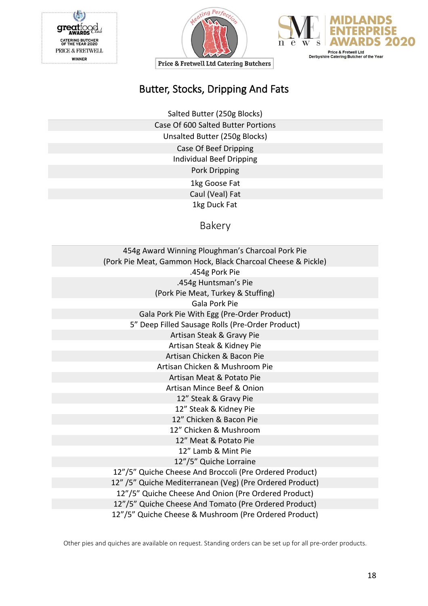





# Butter, Stocks, Dripping And Fats

Salted Butter (250g Blocks) Case Of 600 Salted Butter Portions Unsalted Butter (250g Blocks) Case Of Beef Dripping Individual Beef Dripping Pork Dripping 1kg Goose Fat Caul (Veal) Fat 1kg Duck Fat

Bakery

| 454g Award Winning Ploughman's Charcoal Pork Pie             |  |
|--------------------------------------------------------------|--|
| (Pork Pie Meat, Gammon Hock, Black Charcoal Cheese & Pickle) |  |
| .454g Pork Pie                                               |  |
| .454g Huntsman's Pie                                         |  |
| (Pork Pie Meat, Turkey & Stuffing)                           |  |
| Gala Pork Pie                                                |  |
| Gala Pork Pie With Egg (Pre-Order Product)                   |  |
| 5" Deep Filled Sausage Rolls (Pre-Order Product)             |  |
| Artisan Steak & Gravy Pie                                    |  |
| Artisan Steak & Kidney Pie                                   |  |
| Artisan Chicken & Bacon Pie                                  |  |
| Artisan Chicken & Mushroom Pie                               |  |
| Artisan Meat & Potato Pie                                    |  |
| Artisan Mince Beef & Onion                                   |  |
| 12" Steak & Gravy Pie                                        |  |
| 12" Steak & Kidney Pie                                       |  |
| 12" Chicken & Bacon Pie                                      |  |
| 12" Chicken & Mushroom                                       |  |
| 12" Meat & Potato Pie                                        |  |
| 12" Lamb & Mint Pie                                          |  |
| 12"/5" Quiche Lorraine                                       |  |
| 12"/5" Quiche Cheese And Broccoli (Pre Ordered Product)      |  |
| 12" /5" Quiche Mediterranean (Veg) (Pre Ordered Product)     |  |
| 12"/5" Quiche Cheese And Onion (Pre Ordered Product)         |  |
| 12"/5" Quiche Cheese And Tomato (Pre Ordered Product)        |  |
| 12"/5" Quiche Cheese & Mushroom (Pre Ordered Product)        |  |

Other pies and quiches are available on request. Standing orders can be set up for all pre-order products.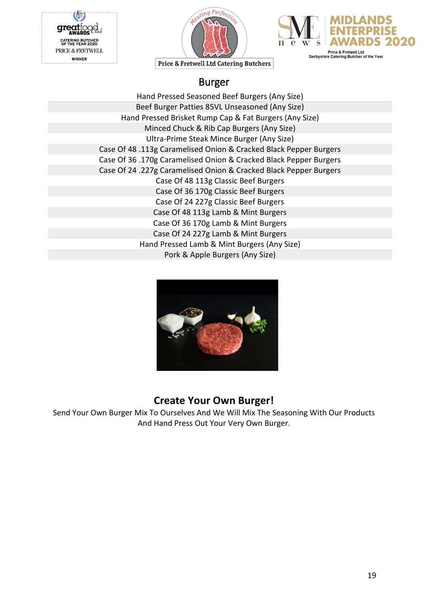





### Burger

Hand Pressed Seasoned Beef Burgers (Any Size) Beef Burger Patties 85VL Unseasoned (Any Size) Hand Pressed Brisket Rump Cap & Fat Burgers (Any Size) Minced Chuck & Rib Cap Burgers (Any Size) Ultra-Prime Steak Mince Burger (Any Size) Case Of 48 .113g Caramelised Onion & Cracked Black Pepper Burgers Case Of 36 .170g Caramelised Onion & Cracked Black Pepper Burgers Case Of 24 .227g Caramelised Onion & Cracked Black Pepper Burgers Case Of 48 113g Classic Beef Burgers Case Of 36 170g Classic Beef Burgers Case Of 24 227g Classic Beef Burgers Case Of 48 113g Lamb & Mint Burgers Case Of 36 170g Lamb & Mint Burgers Case Of 24 227g Lamb & Mint Burgers Hand Pressed Lamb & Mint Burgers (Any Size) Pork & Apple Burgers (Any Size)



### **Create Your Own Burger!**

Send Your Own Burger Mix To Ourselves And We Will Mix The Seasoning With Our Products And Hand Press Out Your Very Own Burger.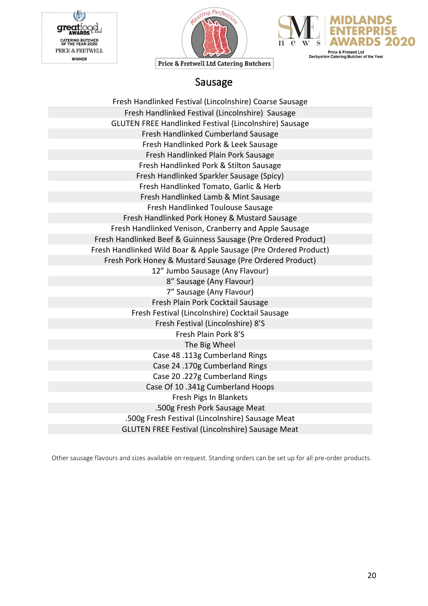





#### Sausage

| Fresh Handlinked Festival (Lincolnshire) Coarse Sausage          |
|------------------------------------------------------------------|
| Fresh Handlinked Festival (Lincolnshire) Sausage                 |
| GLUTEN FREE Handlinked Festival (Lincolnshire) Sausage           |
| Fresh Handlinked Cumberland Sausage                              |
| Fresh Handlinked Pork & Leek Sausage                             |
| Fresh Handlinked Plain Pork Sausage                              |
| Fresh Handlinked Pork & Stilton Sausage                          |
| Fresh Handlinked Sparkler Sausage (Spicy)                        |
| Fresh Handlinked Tomato, Garlic & Herb                           |
| Fresh Handlinked Lamb & Mint Sausage                             |
| Fresh Handlinked Toulouse Sausage                                |
| Fresh Handlinked Pork Honey & Mustard Sausage                    |
| Fresh Handlinked Venison, Cranberry and Apple Sausage            |
| Fresh Handlinked Beef & Guinness Sausage (Pre Ordered Product)   |
| Fresh Handlinked Wild Boar & Apple Sausage (Pre Ordered Product) |
| Fresh Pork Honey & Mustard Sausage (Pre Ordered Product)         |
| 12" Jumbo Sausage (Any Flavour)                                  |
| 8" Sausage (Any Flavour)                                         |
| 7" Sausage (Any Flavour)                                         |
| Fresh Plain Pork Cocktail Sausage                                |
| Fresh Festival (Lincolnshire) Cocktail Sausage                   |
| Fresh Festival (Lincolnshire) 8'S                                |
| Fresh Plain Pork 8'S                                             |
| The Big Wheel                                                    |
| Case 48 .113g Cumberland Rings                                   |
| Case 24 .170g Cumberland Rings                                   |
| Case 20.227g Cumberland Rings                                    |
| Case Of 10 .341g Cumberland Hoops                                |
| Fresh Pigs In Blankets                                           |
| .500g Fresh Pork Sausage Meat                                    |
| .500g Fresh Festival (Lincolnshire) Sausage Meat                 |
| <b>GLUTEN FREE Festival (Lincolnshire) Sausage Meat</b>          |

Other sausage flavours and sizes available on request. Standing orders can be set up for all pre-order products.